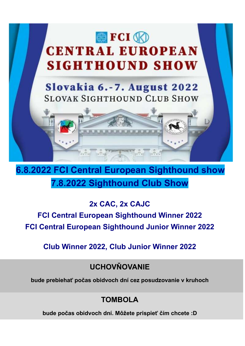

6.8.2022 FCI Central European Sighthound show 7.8.2022 Sighthound Club Show

2x CAC, 2x CAJC

FCI Central European Sighthound Winner 2022 FCI Central European Sighthound Junior Winner 2022

Club Winner 2022, Club Junior Winner 2022

**UCHOVŇOVANIE** 

bude prebiehať počas obidvoch dní cez posudzovanie v kruhoch

## TOMBOL A

bude počas obidvoch dní. Môžete prispieť čím chcete :D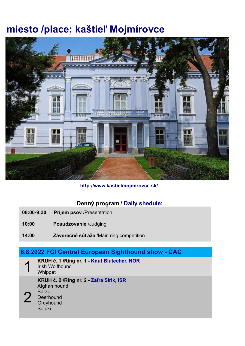# miesto /place: kaštieľ Mojmírovce



http://www.kastielmojmirovce.sk/

## Denný program / Daily shedule:

- 08:00-9:30 Príjem psov /Presentation
- 10:00 Posudzovanie /Judging
- 14:00 Záverečné súťaže /Main ring competition

## 6.8.2022 FCI Central European Sighthound show - CAC

1 KRUH č. 1 /Ring nr. 1 - Knut Blutecher, NOR Irish Wolfhound **Whippet** 2 KRUH č. 2 /Ring nr. 2 - Zafra Sirik, ISR Afghan hound Barzoj **Deerhound Greyhound** Saluki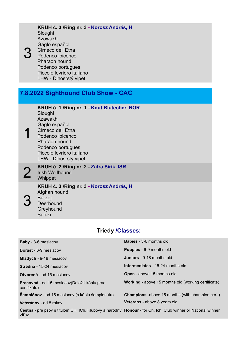| KRUH č. 3 / Ring nr. 3 - Korosz András, H<br>Sloughi<br>Azawakh<br>Gaglo español<br>Cirneco dell Etna<br>Podenco ibicenco<br><b>Pharaon hound</b><br>Podenco portugues<br>Piccolo levriero italiano<br>LHW - Dlhosrstý vipet           |
|----------------------------------------------------------------------------------------------------------------------------------------------------------------------------------------------------------------------------------------|
|                                                                                                                                                                                                                                        |
| 7.8.2022 Sighthound Club Show - CAC                                                                                                                                                                                                    |
| KRUH č. 1 / Ring nr. 1 - Knut Blutecher, NOR<br>Sloughi<br><b>Azawakh</b><br>Gaglo español<br>Cirneco dell Etna<br>Podenco ibicenco<br><b>Pharaon hound</b><br>Podenco portugues<br>Piccolo levriero italiano<br>LHW - Dlhosrstý vipet |
| KRUH č. 2 / Ring nr. 2 - Zafra Sirik, ISR<br><b>Irish Wolfhound</b><br>Whippet                                                                                                                                                         |
| KRUH č. 3 / Ring nr. 3 - Korosz András, H<br>Afghan hound<br>Barzoj<br>Deerhound<br>Greyhound<br>Saluki                                                                                                                                |
|                                                                                                                                                                                                                                        |

## Triedy /Classes:

| <b>Baby</b> - 3-6 mesiacov                                                                                           | <b>Babies</b> - 3-6 months old                             |
|----------------------------------------------------------------------------------------------------------------------|------------------------------------------------------------|
| <b>Dorast</b> - 6-9 mesiacov                                                                                         | <b>Puppies</b> - 6-9 months old                            |
| Mladých - 9-18 mesiacov                                                                                              | <b>Juniors</b> - 9-18 months old                           |
| Stredná - 15-24 mesiacov                                                                                             | <b>Intermediates - 15-24 months old</b>                    |
| <b>Otvorená</b> - od 15 mesiacov                                                                                     | Open - above 15 months old                                 |
| <b>Pracovná</b> - od 15 mesiacov (Doložiť kópiu prac.<br>certifikátu)                                                | <b>Working</b> - above 15 months old (working certificate) |
| <b>Šampiónov</b> - od 15 mesiacov (s kópiu šampionátu)                                                               | <b>Champions</b> -above 15 months (with champion cert.)    |
| Veteránov - od 8 rokov                                                                                               | Veterans - above 8 years old                               |
| Čestná - pre psov s titulom CH, ICh, Klubový a národný Honour - for Ch, Ich, Club winner or National winner<br>víťaz |                                                            |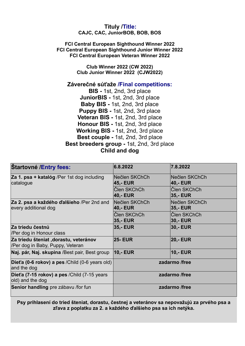#### Tituly /Title: CAJC, CAC, JuniorBOB, BOB, BOS

#### FCI Central European Sighthound Winner 2022 FCI Central European Sighthound Junior Winner 2022 FCI Central European Veteran Winner 2022

Club Winner 2022 (CW 2022) Club Junior Winner 2022 (CJW2022)

### Záverečné súťaže /Final competitions:

BIS - 1st, 2nd, 3rd place JuniorBIS - 1st, 2nd, 3rd place Baby BIS - 1st, 2nd, 3rd place Puppy BIS - 1st, 2nd, 3rd place Veteran BIS - 1st, 2nd, 3rd place Honour BIS - 1st, 2nd, 3rd place Working BIS - 1st, 2nd, 3rd place Best couple - 1st, 2nd, 3rd place Best breeders group - 1st, 2nd, 3rd place Child and dog

| <b>Startovné /Entry fees:</b>                                              | 6.8.2022                  | 7.8.2022                       |  |
|----------------------------------------------------------------------------|---------------------------|--------------------------------|--|
| Za 1. psa + katalóg /Per 1st dog including<br>catalogue                    | Nečlen SKChCh<br>45,- EUR | Nečlen SKChCh<br>40,- EUR      |  |
|                                                                            | Člen SKChCh<br>40,- EUR   | Člen SKChCh<br><b>35,- EUR</b> |  |
| Za 2. psa a každého ďalšieho /Per 2nd and<br>every additional dog          | Nečlen SKChCh<br>40,- EUR | Nečlen SKChCh<br>35,- EUR      |  |
|                                                                            | Člen SKChCh<br>35,- EUR   | Člen SKChCh<br><b>30,- EUR</b> |  |
| Za triedu čestnú<br>/Per dog in Honour class                               | 35,- EUR                  | <b>30,- EUR</b>                |  |
| Za triedu šteniat , dorastu, veteránov<br>/Per dog in Baby, Puppy, Veteran | <b>25- EUR</b>            | <b>20,- EUR</b>                |  |
| Naj. pár, Naj. skupina /Best pair, Best group                              | <b>10,- EUR</b>           | <b>10,- EUR</b>                |  |
| Diet'a (0-6 rokov) a pes / Child (0-6 years old)<br>and the dog            | zadarmo /free             |                                |  |
| Diet'a (7-15 rokov) a pes / Child (7-15 years<br>old) and the dog          |                           | zadarmo /free                  |  |
| Senior handling pre zábavu /for fun                                        |                           | zadarmo /free                  |  |

Psy prihlasení do tried šteniat, dorastu, čestnej a veteránov sa nepovažujú za prvého psa a zľava z poplatku za 2. a každého ďalšieho psa sa ich netýka.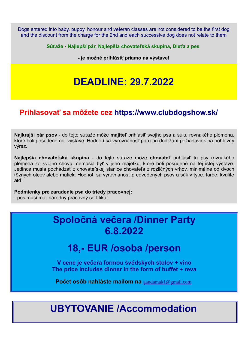Dogs entered into baby, puppy, honour and veteran classes are not considered to be the first dog and the discount from the charge for the 2nd and each successive dog does not relate to them

Súťaže - Najlepší pár, Najlepšia chovateľská skupina, Dieťa a pes

- je možné prihlásiť priamo na výstave!

# DEADLINE: 29.7.2022

## Prihlasovať sa môžete cez https://www.clubdogshow.sk/

Najkrajší pár psov - do tejto súťaže môže majiteľ prihlásiť svojho psa a suku rovnakého plemena, ktoré boli posúdené na výstave. Hodnotí sa vyrovnanosť páru pri dodržaní požiadaviek na pohlavný výraz.

Najlepšia chovateľská skupina - do tejto súťaže môže chovateľ prihlásiť tri psy rovnakého plemena zo svojho chovu, nemusia byť v jeho majetku, ktoré boli posúdené na tej istej výstave. Jedince musia pochádzať z chovateľskej stanice chovateľa z rozličných vrhov, minimálne od dvoch rôznych otcov alebo matiek. Hodnotí sa vyrovnanosť predvedených psov a súk v type, farbe, kvalite atď.

Podmienky pre zaradenie psa do triedy pracovnej:

- pes musí mať národný pracovný certifikát

## Spoločná večera /Dinner Party 6.8.2022

## 18,- EUR /osoba /person

V cene je večera formou švédskych stolov + víno The price includes dinner in the form of buffet + reva

Počet osôb nahláste mailom na gandamak1@gmail.com

# UBYTOVANIE /Accommodation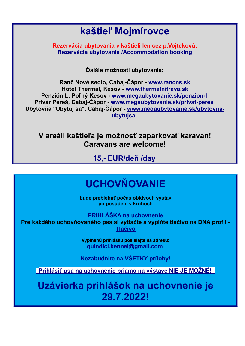# kaštieľ Mojmírovce

Rezervácia ubytovania v kaštieli len cez p.Vojtekovú: Rezervácia ubytovania /Accommodation booking

Ďalšie možnosti ubytovania:

Ranč Nové sedlo, Cabaj-Čápor - www.rancns.sk Hotel Thermal, Kesov - www.thermalnitrava.sk Penzión L, Poľný Kesov - www.megaubytovanie.sk/penzion-l Privár Pereš, Cabaj-Čápor - www.megaubytovanie.sk/privat-peres Ubytovňa "Ubytuj sa", Cabaj-Čápor - www.megaubytovanie.sk/ubytovnaubytujsa

V areáli kaštieľa je možnosť zaparkovať karavan! Caravans are welcome!

15,- EUR/deň /day

# **UCHOVŇOVANIE**

bude prebiehať počas obidvoch výstav po posúdení v kruhoch

PRIHLÁŠKA na uchovnenie

Pre každého uchovňovaného psa si vytlačte a vyplňte tlačivo na DNA profil - Tlačivo

> Vyplnenú prihlášku posielajte na adresu: quindici.kennel@gmail.com

Nezabudnite na VŠETKY prílohy!

**Prihlásiť psa na uchovnenie priamo na výstave NIE JE MOŽNÉ!** 

Uzávierka prihlášok na uchovnenie je 29.7.2022!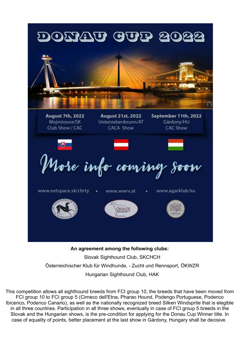

 Slovak Sighthound Club, SKCHCH Österreichischer Klub für Windhunde, - Zucht und Rennsport, ÖKWZR Hungarian Sighthound Club, HAK

This competition allows all sighthound breeds from FCI group 10, the breeds that have been moved from FCI group 10 to FCI group 5 (Cirneco dell'Etna, Pharao Hound, Podengo Portuguese, Podenco Ibicenco, Podenco Canario), as well as the nationally recognized breed Silken Windsprite that is elegible in all three countries. Participation in all three shows, eventually in case of FCI group 5 breeds in the Slovak and the Hungarian shows, is the pre-condition for applying for the Donau Cup Winner title. In case of equality of points, better placement at the last show in Gárdony, Hungary shall be decisive.